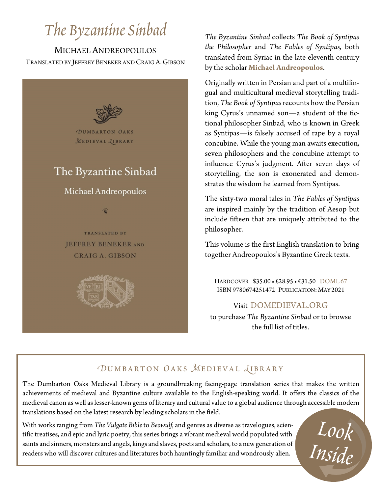## *The Byzantine Sinbad*

MICHAEL ANDREOPOULOS TRANSLATED BY JEFFREY BENEKER AND CRAIG A.GIBSON



*The Byzantine Sinbad* collects *The Book of Syntipas the Philosopher* and *The Fables of Syntipas,* both translated from Syriac in the late eleventh century by the scholar **Michael Andreopoulos**.

Originally written in Persian and part of a multilingual and multicultural medieval storytelling tradition, *The Book of Syntipas* recounts how the Persian king Cyrus's unnamed son—a student of the fictional philosopher Sinbad, who is known in Greek as Syntipas—is falsely accused of rape by a royal concubine. While the young man awaits execution, seven philosophers and the concubine attempt to influence Cyrus's judgment. After seven days of storytelling, the son is exonerated and demonstrates the wisdom he learned from Syntipas.

The sixty-two moral tales in *The Fables of Syntipas* are inspired mainly by the tradition of Aesop but include fifteen that are uniquely attributed to the philosopher.

This volume is the first English translation to bring together Andreopoulos's Byzantine Greek texts.

HARDCOVER \$35.00 • £28.95 • €31.50 DOML 67 ISBN 9780674251472 PUBLICATION: MAY 2021

#### Visit DOMEDIEVAL.ORG

to purchase *The Byzantine Sinbad* or to browse the full list of titles.

## *OUMBARTON OAKS MEDIEVAL LIBRARY*

The Dumbarton Oaks Medieval Library is a groundbreaking facing-page translation series that makes the written achievements of medieval and Byzantine culture available to the English-speaking world. It offers the classics of the medieval canon as well as lesser-known gems of literary and cultural value to a global audience through accessible modern translations based on the latest research by leading scholars in the field.

With works ranging from *The Vulgate Bible* to *Beowulf*, and genres as diverse as travelogues, scientific treatises, and epic and lyric poetry, this series brings a vibrant medieval world populated with saints and sinner tific treatises, and epic and lyric poetry, this series brings a vibrant medieval world populated with saints and sinners, monsters and angels, kings and slaves, poets and scholars, to a new generation of readers who will discover cultures and literatures both hauntingly familiar and wondrously alien.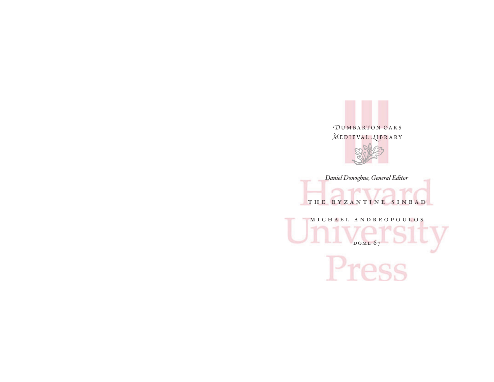



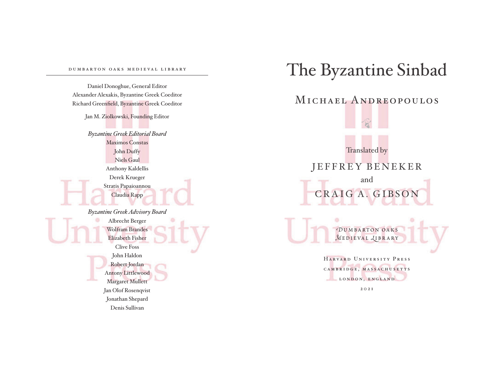#### dumbartonoaksmedievallibrary

Daniel Donoghue, General Editor Alexander Alexakis, Byzantine Greek Coeditor Richard Greenfield, Byzantine Greek Coeditor

Jan M. Ziolkowski, Founding Editor

*Byzantine Greek Editorial Board* Maximos Constas John Duffy Niels Gaul Anthony Kaldellis Derek Krueger Stratis Papaioannou Claudia Rapp

*Byzantine Greek Advisory Board* Albrecht Berger Wolfram Brandes Elizabeth Fisher Clive Foss John Haldon Robert Jordan Antony Littlewood Margaret Mullett Jan Olof Rosenqvist Jonathan Shepard Denis Sullivan

## The Byzantine Sinbad MICHAEL ANDREOPOULOS **SC** Translated by JEFFREY BENEKER and CRAIG A. GIBSON ó *D*umbarton oaks *M***EDIEVAL** *<u>LIBRARY</u>* HarvardUniversityPress CAMBRIDGE, MASSACHUSETTS LONDON, ENGLAND 2021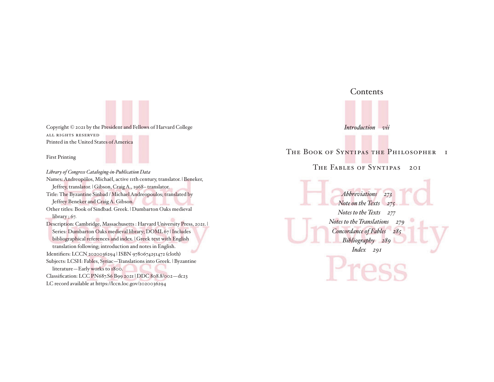Copyright © 2021 by the President and Fellows of Harvard College all rights reserved Printed in the United States of America

First Printing

*Library of Congress Cataloging- in- Publication Data* Names: Andreopōlos, Michaēl, active 11th century, translator. | Beneker, Jeffrey, translator. | Gibson, Craig A., 1968-translator. Title: The Byzantine Sinbad / Michael Andreopoulos; translated by Jeffrey Beneker and Craig A. Gibson. Other titles: Book of Sindbad. Greek. | Dumbarton Oaks medieval library ; 67. Description: Cambridge, Massachusetts : Harvard University Press, 2021. | Series: Dumbarton Oaks medieval library; DOML 67 | Includes bibliographical references and index. | Greek text with English translation following; introduction and notes in English. Identifiers: LCCN 2020036294 | ISBN 9780674251472 (cloth) Subjects: LCSH: Fables, Syriac—Translations into Greek. | Byzantine literature—Early works to 1800. Classification: LCC PN687.S6 B99 2021 | DDC 808.8/002—dc23 LC record available at https://lccn.loc.gov/2020036294



The Book of Syntipas the Philosopher 1

THE FABLES OF SYNTIPAS 201

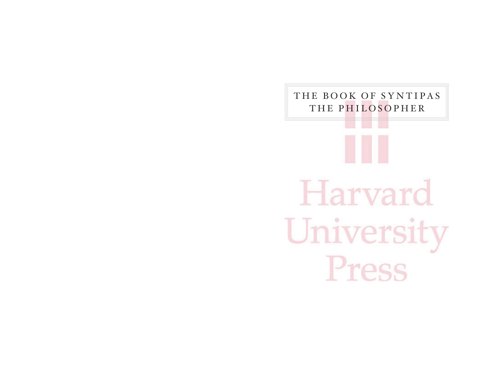# THE BOOK OF SYNTIPAS THE PHILOSOPHERHarvard University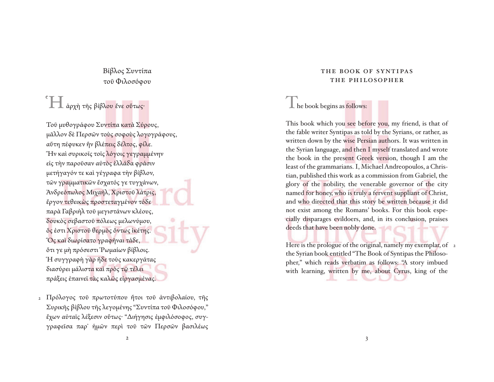Βίβλος Συντίπα τοῦ Φιλοσόφου

## ΈΠ άρχὴ τῆς βίβλου ἔνε οὕτως·

Τοῦ μυθογράφου Συντίπα κατὰ Σύρους, μᾶλλον δὲ Περσῶν τοὺς σοφοὺς λογογράφους, αὕτη πέφυκεν ἣν βλέπεις δέλτος, φίλε. Ἣν καὶ συρικοῖς τοῖς λόγοις γεγραμμένην εἰς τὴν παροῦσαν αὐτὸς ἑλλάδα φράσιν μετήγαγόν τε καὶ γέγραφα τὴν βίβλον, τῶν γραμματικῶν ἔσχατός γε τυγχάνων, Ἀνδρεόπωλος Μιχαήλ, Χριστοῦ λάτρις, ἔργον τεθεικὼς προστεταγμένον τόδε παρὰ Γαβριὴλ τοῦ μεγιστάνων κλέους, δουκὸς σεβαστοῦ πόλεως μελωνύμου, ὅς ἐστι Χριστοῦ θερμὸς ὄντως ἱκέτης. Ὃς καὶ διωρίσατο γραφῆναι τάδε, ὅτι γε μὴ πρόσεστι Ῥωμαίων βίβλοις. Ἡ συγγραφὴ γὰρ ἥδε τοὺς κακεργάτας διασύρει μάλιστα καὶ πρὸς τῷ τέλει πράξεις ἐπαινεῖ τὰς καλῶς εἰργασμένας.

Πρόλογος τοῦ πρωτοτύπου ἤτοι τοῦ ἀντιβολαίου, τῆς 2 Συρι κῆς βίβλου τῆς λεγομένης "Συντίπα τοῦ Φιλοσόφου," ἔχων αὐταῖς λέξεσιν οὕτως· "Διήγησις ἐμφιλόσοφος, συγγραφεῖσα παρ᾽ ἡμῶν περὶ τοῦ τῶν Περσῶν βασιλέως

#### THE BOOK OF SYNTIPAS THE PHILOSOPHER

### $\mathbf 1$  he book begins as follows:

This book which you see before you, my friend, is that of the fable writer Syntipas as told by the Syrians, or rather, as written down by the wise Persian authors. It was written in the Syrian language, and then I myself translated and wrote the book in the present Greek version, though I am the least of the grammarians. I, Michael Andreopoulos, a Christian, published this work as a commission from Gabriel, the glory of the nobility, the venerable governor of the city named for honey, who is truly a fervent suppliant of Christ, and who directed that this story be written because it did not exist among the Romans' books. For this book especially disparages evildoers, and, in its conclusion, praises deeds that have been nobly done.

Here is the prologue of the original, namely my exemplar, of 2the Syrian book entitled "The Book of Syntipas the Philosopher," which reads verbatim as follows: "A story imbued with learning, written by me, about Cyrus, king of the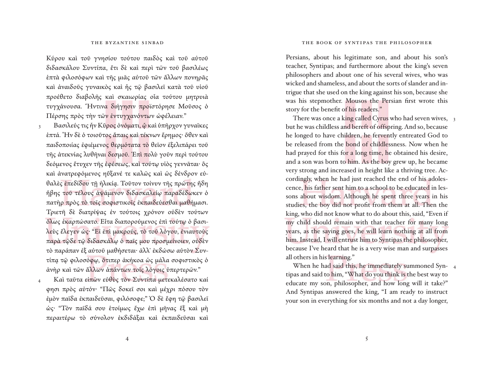Κύρου καὶ τοῦ γνησίου τούτου παιδὸς καὶ τοῦ αὐτοῦ διδασκάλου Συντίπα, ἔτι δὲ καὶ περὶ τῶν τοῦ βασιλέως ἑπτὰ φιλοσόφων καὶ τῆς μιᾶς αὐτοῦ τῶν ἄλλων πονηρᾶς καὶ ἀναιδοῦς γυναικὸς καὶ ἧς τῷ βασιλεῖ κατὰ τοῦ υἱοῦ προέθετο διαβολῆς καὶ σκαιωρίας οἷα τούτου μητρυιὰ τυγ χάνουσα. Ἥντινα διήγησιν προϊστόρησε Μοῦσος ὁ Πέρσης πρὸς τὴν τῶν ἐντυγχανόντων ώφέλειαν."

- Βασιλεύς τις ἦν Κῦρος ὀνόματι, ῷ καὶ ὑπῆρχον γυναῖκες ἑπτά. Ἦν δὲ ὁ τοιοῦτος ἄπαις καὶ τέκνων ἔρημος· ὅθεν καὶ παιδοποιίας ἐφιέμενος θερμότατα τὸ θεῖον ἐξελιπάρει τοῦ τῆς ἀτεκνίας λυθῆναι δεσμοῦ. Ἐπὶ πολὺ γοῦν περὶ τούτου δεόμενος ἔτυχεν τῆς ἐφέσεως, καὶ τούτῳ υἱὸς γεννᾶται· ὃς καὶ ἀνατρεφόμενος ηὔξανέ τε καλῶς καὶ ὡς δένδρον εὐθαλὲς ἐπεδίδου τῇ ἡλικίᾳ. Τοῦτον τοίνυν τῆς πρώτης ἤδη ἥβης τοῦ τέλους ἁψάμενον διδασκαλείῳ παραδέδωκεν ὁ πατὴρ πρὸς τὸ τοῖς σοφιστικοῖς ἐκπαιδεύεσθαι μαθήμασι. Τριετῆ δὲ διατρίψας ἐν τούτοις χρόνον οὐδὲν τούτων ὅλως ἐκαρπώσατο. Εἶτα διαπορούμενος ἐπὶ τούτῳ ὁ βασιλεὺς ἔλεγεν ὡς· "Εἰ ἐπὶ μακρούς, τὸ τοῦ λόγου, ἐνιαυτοὺς παρὰ τῷδε τῷ διδασκάλῳ ὁ παῖς μου προσμείνοιεν, οὐδὲν τὸ παράπαν ἐξ αὐτοῦ μαθήσεται· ἀλλ᾿ ἐκδώσω αὐτὸν Συντίπᾳ τῷ φιλοσόφῳ, ὅτιπερ ἀκήκοα ὡς μάλα σοφιστικὸς ὁ ἀνὴρ καὶ τῶν ἄλλων ἁπάντων τοῖς λόγοις ὑπερτερῶν." 3
- Καὶ ταῦτα εἰπὼν εὐθὺς τὸν Συντίπα μετεκαλέσατο καί φησι πρὸς αὐτόν· "Πῶς δοκεῖ σοι καὶ μέχρι πόσου τὸν ἐμὸν παῖδα ἐκπαιδεῦσαι, φιλόσοφε;" Ὁ δὲ ἔφη τῷ βασιλεῖ ὡς· "Τὸν παῖδά σου ἑτοίμως ἔχω ἐπὶ μῆνας ἓξ καὶ μὴ περαιτέρω τὸ σύνολον ἐκδιδάξαι καὶ ἐκπαιδεῦσαι καὶ 4

 Persians, about his legitimate son, and about his son's teacher, Syntipas; and furthermore about the king's seven philosophers and about one of his several wives, who was wicked and shameless, and about the sorts of slander and intrigue that she used on the king against his son, because she was his stepmother. Mousos the Persian first wrote this story for the benefit of his readers."

There was once a king called Cyrus who had seven wives, 3 but he was childless and bereft of offspring. And so, because he longed to have children, he fervently entreated God to be released from the bond of childlessness. Now when he had prayed for this for a long time, he obtained his desire, and a son was born to him. As the boy grew up, he became very strong and increased in height like a thriving tree. Accordingly, when he had just reached the end of his adolescence, his father sent him to a school to be educated in lessons about wisdom. Although he spent three years in his studies, the boy did not profit from them at all. Then the king, who did not know what to do about this, said, "Even if my child should remain with that teacher for many long years, as the saying goes, he will learn nothing at all from him. Instead, I will entrust him to Syntipas the philosopher, because I've heard that he is a very wise man and surpasses all others in his learning."

When he had said this, he immediately summoned Syn- 4 tipas and said to him, "What do you think is the best way to educate my son, philosopher, and how long will it take?" And Syntipas answered the king, "I am ready to instruct your son in everything for six months and not a day longer,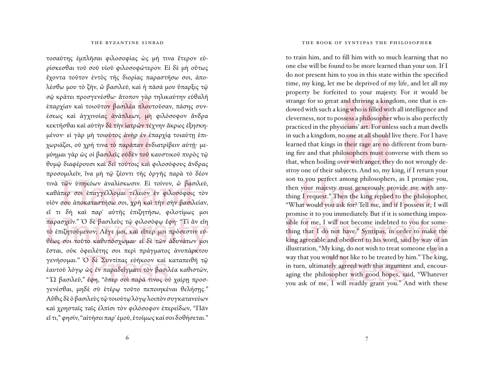#### THE BYZANTINE SINBAD

τοσαύτης ἐμπλῆσαι φιλοσοφίας ὡς μή τινα ἕτερον εὑρίσκεσθαι τοῦ σοῦ υἱοῦ φιλοσοφώτερον. Εἰ δὲ μὴ οὕτως ἔχοντα τοῦτον ἐντὸς τῆς διορίας παραστήσω σοι, ἀπολέσθω μου τὸ ζῆν, ὦ βασιλεῦ, καὶ ἡ πᾶσά μου ὕπαρξις τῷ σῷ κράτει προσγενέσθω· ἄτοπον γὰρ τηλικαύτην εὐθαλῆ ἐπαρχίαν καὶ τοιοῦτον βασιλέα πλουτοῦσαν, πάσης συνέσεως καὶ ἀγχινοίας ἀνάπλεων, μὴ φιλόσοφον ἄνδρα κεκτῆσθαι καὶ αὐτὴν δὲ τὴν ἰατρῶν τέχνην ἄκρως ἐξησκημένον· εἰ γὰρ μὴ τοιοῦτος ἀνὴρ ἐν ἐπαρχίᾳ τοιαύτῃ ἐπιχωριάζοι, οὐ χρή τινα τὸ παράπαν ἐνδιατρίβειν αὐτῇ· μεμύημαι γὰρ ὡς οἱ βασιλεῖς οὐδὲν τοῦ καυστικοῦ πυρὸς τῷ θυμῷ διαφέρουσι καὶ δεῖ τούτοις καὶ φιλοσόφους ἄνδρας προσομιλεῖν, ἵνα μὴ τῷ ζέοντι τῆς ὀργῆς παρὰ τὸ δέον τινὰ τῶν ὑπηκόων ἀναλίσκωσιν. Εἰ τοίνυν, ὦ βασιλεῦ, καθάπερ σοι ἐπαγγέλλομαι τέλειον ἐν φιλοσόφοις τὸν υἱόν σου ἀποκαταστήσω σοι, χρὴ καὶ τὴν σὴν βασιλείαν, εἴ τι δὴ καὶ παρ᾽ αὐτῆς ἐπιζητήσω, φιλοτίμως μοι παρασχεῖν." Ὁ δὲ βασιλεὺς τῷ φιλοσόφῳ ἔφη· "Τί ἂν εἴη τὸ ἐπιζητούμενον; Λέγε μοι, καὶ εἴπερ μοι πρόσεστιν εὐθέως σοι τοῦτο καθυπόσχωμαι· εἰ δὲ τῶν ἀδυνάτων μοι ἔσται, οὐκ ὀφειλέτης σοι περὶ πράγματος ἀνυπάρκτου γενήσομαι." Ὁ δὲ Συντίπας εὐήκοον καὶ καταπειθῆ τῷ ἑαυτοῦ λόγῳ ὡς ἐν παραδείγματι τὸν βασιλέα καθιστῶν, " Ὦ βασιλεῦ," ἔφη, "ὅπερ σοὶ παρά τινος οὐ χαίρῃ προσγενέσθαι, μηδὲ σὺ ἑτέρῳ τοῦτο πεποιηκέναι θελήσῃς." Αὖθις δὲ ὁ βασιλεὺς τῷ τοιούτῳ λόγῳ λοιπὸν συγκατανεύων καὶ χρησταῖς ταῖς ἐλπίσι τὸν φιλόσοφον ἐπερείδων, "Πᾶν εἴ τι," φησίν, "αἰτήσει παρ᾽ ἐμοῦ, ἑτοίμως καί σοι δοθήσεται."

#### THE BOOK OF SYNTIPAS THE PHILOSOPHER

to train him, and to fill him with so much learning that no one else will be found to be more learned than your son. If I do not present him to you in this state within the specified time, my king, let me be deprived of my life, and let all my property be forfeited to your majesty. For it would be strange for so great and thriving a kingdom, one that is endowed with such a king who is filled with all intelligence and cle verness, not to possess a philosopher who is also perfectly practiced in the physicians' art. For unless such a man dwells in such a kingdom, no one at all should live there. For I have learned that kings in their rage are no different from burning fire and that philosophers must converse with them so that, when boiling over with anger, they do not wrongly destroy one of their subjects. And so, my king, if I return your son to you perfect among philosophers, as I promise you, then your majesty must generously provide me with anything I request." Then the king replied to the philosopher, "What would you ask for? Tell me, and if I possess it, I will promise it to you immediately. But if it is something impossible for me, I will not become indebted to you for something that I do not have." Syntipas, in order to make the king agreeable and obedient to his word, said by way of an illustration, "My king, do not wish to treat someone else in a way that you would not like to be treated by him." The king, in turn, ultimately agreed with this argument and, encouraging the philosopher with good hopes, said, "Whatever you ask of me, I will readily grant you." And with these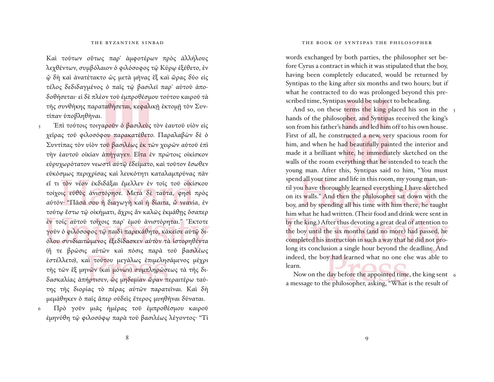Καὶ τούτων οὕτως παρ᾽ ἀμφοτέρων πρὸς ἀλλήλους λεχθέντων, συμβόλαιον ὁ φιλόσοφος τῷ Κύρῳ ἐξέθετο, ἐν ᾧ δὴ καὶ ἀνατέτακτο ὡς μετὰ μῆνας ἓξ καὶ ὥρας δύο εἰς τέλος δεδιδαγμένος ὁ παῖς τῷ βασιλεῖ παρ᾽ αὐτοῦ ἀποδοθήσεται· εἰ δὲ πλέον τοῦ ἐμπροθέσμου τούτου καιροῦ τὰ τῆς συνθήκης παραταθήσεται, κεφαλικῇ ἐκτομῇ τὸν Συντίπαν ὑποβληθῆναι.

- Ἐπὶ τούτοις τοιγαροῦν ὁ βασιλεὺς τὸν ἑαυτοῦ υἱὸν εἰς χεῖρας τοῦ φιλοσόφου παρακατέθετο. Παραλαβὼν δὲ ὁ Συντίπας τὸν υἱὸν τοῦ βασιλέως ἐκ τῶν χειρῶν αὐτοῦ ἐπὶ τὴν ἑαυτοῦ οἰκίαν ἀπήγαγεν. Εἶτα ἐν πρώτοις οἰκίσκον εὐρυχωρότατον νεωστὶ αὐτῷ ἐδείματο, καὶ τοῦτον ἔσωθεν εὐκόσμως περιχρίσας καὶ λευκότητι καταλαμπρύνας πᾶν εἴ τι τὸν νέον ἐκδιδάξαι ἔμελλεν ἐν τοῖς τοῦ οἰκίσκου τοίχοις εὐθὺς ἀνιστόρησε. Μετὰ δὲ ταῦτα, φησὶ πρὸς αὐτόν· "Πᾶσά σου ἡ διαγωγὴ καὶ ἡ δίαιτα, ὦ νεανία, ἐν τούτῳ ἔστω τῷ οἰκήματι, ἄχρις ἂν καλῶς ἐκμάθῃς ὅσαπερ έν τοῖς αὐτοῦ τοίχοις παρ' ἐμοῦ ἀνιστόρηται." Εκτοτε γοῦν ὁ φιλόσοφος τῷ παιδὶ παρεκάθητο, κἀκεῖσε αὐτῷ διόλου συνδιαιτώμενος ἐξεδίδασκεν αὐτὸν τὰ ἱστορηθέντα (ἥ τε βρῶσις αὐτῶν καὶ πόσις παρὰ τοῦ βασιλέως ἐστέλλετο), καὶ τούτου μεγάλως ἐπιμελησάμενος μέχρι τῆς τῶν ἓξ μηνῶν (καὶ μόνων) συμπληρώσεως τὰ τῆς διδασκαλίας ἀπήρτισεν, ὡς μηδεμίαν ὥραν περαιτέρω ταύτης τῆς διορίας τὸ πέρας αὐτῶν παρατεῖναι. Καὶ δὴ μεμάθηκεν ὁ παῖς ἅπερ οὐδεὶς ἕτερος μυηθῆναι δύναται. 5
- Πρὸ γοῦν μιᾶς ἡμέρας τοῦ ἐμπροθέσμου καιροῦ ἐμηνύθη τῷ φιλοσόφῳ παρὰ τοῦ βασιλέως λέγοντος· "Τί 6

words exchanged by both parties, the philosopher set before Cyrus a contract in which it was stipulated that the boy, having been completely educated, would be returned by Syntipas to the king after six months and two hours; but if what he contracted to do was prolonged beyond this prescribed time, Syntipas would be subject to beheading.

And so, on these terms the king placed his son in the 5 hands of the philosopher, and Syntipas received the king's son from his father's hands and led him off to his own house. First of all, he constructed a new, very spacious room for him, and when he had beautifully painted the interior and made it a brilliant white, he immediately sketched on the walls of the room everything that he intended to teach the young man. After this, Syntipas said to him, "You must spend all your time and life in this room, my young man, until you have thoroughly learned everything I have sketched on its walls." And then the philosopher sat down with the boy, and by spending all his time with him there, he taught him what he had written. (Their food and drink were sent in by the king.) After thus devoting a great deal of attention to the boy until the six months (and no more) had passed, he completed his instruction in such a way that he did not prolong its conclusion a single hour beyond the deadline. And indeed, the boy had learned what no one else was able to learn.

Now on the day before the appointed time, the king sent 6 a message to the philosopher, asking, "What is the result of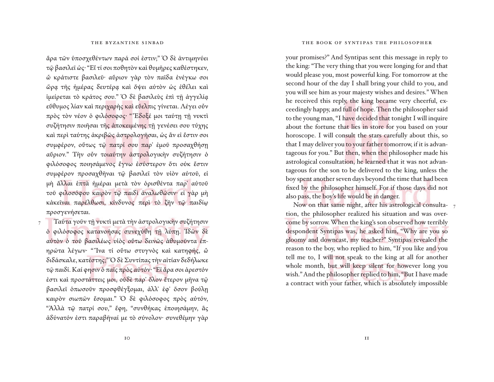#### THE BYZANTINE SINBAD

ἄρα τῶν ὑποσχεθέντων παρά σοί ἐστιν;" Ὁ δὲ ἀντιμηνύει τῷ βασιλεῖ ὡς· "Εἴ τί σοι ποθητὸν καὶ θυμῆρες καθέστηκεν, ὦ κράτιστε βασιλεῦ· αὔριον γὰρ τὸν παῖδα ἐνέγκω σοι ὥρᾳ τῆς ἡμέρας δευτέρᾳ καὶ ὄψει αὐτὸν ὡς ἐθέλει καὶ ἱμείρεται τὸ κράτος σου." Ὁ δὲ βασιλεὺς ἐπὶ τῇ ἀγγελίᾳ εΰθυμος λίαν και περιχαρής και εΰελπις γίνεται. Λέγει οὖν πρὸς τὸν νέον ὁ φιλόσοφος· " Ἔδοξέ μοι ταύτῃ τῇ νυκτὶ συζήτησιν ποιῆσαι τῆς ἀποκειμένης τῇ γενέσει σου τύχης καὶ περὶ ταύτης ἀκριβῶς ἀστρολογῆσαι, ὡς ἂν εἰ ἔστιν σοι συμφέρον, οὕτως τῷ πατρί σου παρ᾽ ἐμοῦ προσαχθήσῃ αὔριον." Τὴν οὖν τοιαύτην ἀστρολογικὴν συζήτησιν ὁ φιλόσοφος ποιησάμενος ἔγνω ἐσύστερον ὅτι οὐκ ἔστιν συμφέρον προσαχθῆναι τῷ βασιλεῖ τὸν υἱὸν αὐτοῦ, εἰ μὴ ἄλλαι ἑπτὰ ἡμέραι μετὰ τὸν ὁρισθέντα παρ᾽ αὐτοῦ τοῦ φιλοσόφου καιρὸν τῷ παιδὶ ἀναλωθῶσιν· εἰ γὰρ μὴ κἀκεῖναι παρέλθωσι, κίνδυνος περὶ τὸ ζῆν τῷ παιδίῳ προσγενήσεται.

 Ταῦτα γοῦν τῇ νυκτὶ μετὰ τὴν ἀστρολογικὴν συζήτησιν ὁ φιλόσοφος κατανοήσας συνεχύθη τῇ λύπῃ. Ἰδὼν δὲ αὐτὸν ὁ τοῦ βασιλέως υἱὸς οὕτω δεινῶς ἀθυμοῦντα ἐπηρώτα λέγων· " Ἵνα τί οὕτω στυγνὸς καὶ κατηφής, ὦ διδάσκαλε, κατέστης;" Ὁ δὲ Συντίπας τὴν αἰτίαν δεδήλωκε τῷ παιδί. Καί φησιν ὁ παῖς πρὸς αὐτόν· "Εἰ ἄρα σοι ἀρεστόν ἐστι καὶ προστάττεις μοι, οὐδὲ παρ᾽ ὅλον ἕτερον μῆνα τῷ βασιλεῖ ὁπωσοῦν προσφθέγξομαι, ἀλλ᾿ ἐφ᾿ ὅσον βούλῃ καιρὸν σιωπῶν ἔσομαι." Ὁ δὲ φιλόσοφος πρὸς αὐτόν, "Ἀλλὰ τῷ πατρί σου," ἔφη, "συνθήκας ἐποιησάμην, ἃς ἀδύνατόν ἐστι παραβῆναί με τὸ σύνολον· συνεθέμην γὰρ

7

#### THE BOOK OF SYNTIPAS THE PHILOSOPHER

your promises?" And Syntipas sent this message in reply to the king: "The very thing that you were longing for and that would please you, most powerful king. For tomorrow at the second hour of the day I shall bring your child to you, and you will see him as your majesty wishes and desires." When he received this reply, the king became very cheerful, exceedingly happy, and full of hope. Then the philosopher said to the young man, "I have decided that tonight I will inquire about the fortune that lies in store for you based on your horoscope. I will consult the stars carefully about this, so that I may deliver you to your father tomorrow, if it is advantageous for you." But then, when the philosopher made his astrological consultation, he learned that it was not advantageous for the son to be delivered to the king, unless the boy spent another seven days beyond the time that had been fixed by the philosopher himself. For if those days did not also pass, the boy's life would be in danger.

Now on that same night, after his astrological consultation, the philosopher realized his situation and was overcome by sorrow. When the king's son observed how terribly despondent Syntipas was, he asked him, "Why are you so gloomy and downcast, my teacher?" Syntipas revealed the reason to the boy, who replied to him, "If you like and you tell me to, I will not speak to the king at all for another whole month, but will keep silent for however long you wish." And the philosopher replied to him, "But I have made a contract with your father, which is absolutely impossible